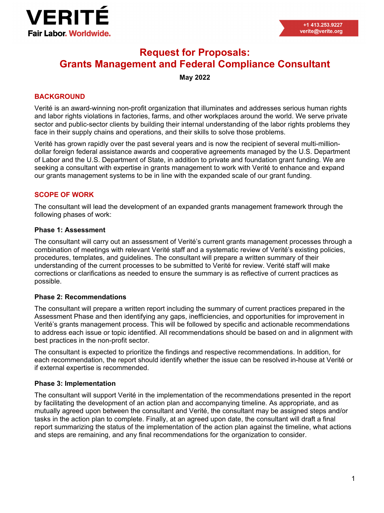

# **Request for Proposals: Grants Management and Federal Compliance Consultant**

# **May 2022**

# **BACKGROUND**

Verité is an award-winning non-profit organization that illuminates and addresses serious human rights and labor rights violations in factories, farms, and other workplaces around the world. We serve private sector and public-sector clients by building their internal understanding of the labor rights problems they face in their supply chains and operations, and their skills to solve those problems.

Verité has grown rapidly over the past several years and is now the recipient of several multi-milliondollar foreign federal assistance awards and cooperative agreements managed by the U.S. Department of Labor and the U.S. Department of State, in addition to private and foundation grant funding. We are seeking a consultant with expertise in grants management to work with Verité to enhance and expand our grants management systems to be in line with the expanded scale of our grant funding.

## **SCOPE OF WORK**

The consultant will lead the development of an expanded grants management framework through the following phases of work:

#### **Phase 1: Assessment**

The consultant will carry out an assessment of Verité's current grants management processes through a combination of meetings with relevant Verité staff and a systematic review of Verité's existing policies, procedures, templates, and guidelines. The consultant will prepare a written summary of their understanding of the current processes to be submitted to Verité for review. Verité staff will make corrections or clarifications as needed to ensure the summary is as reflective of current practices as possible.

#### **Phase 2: Recommendations**

The consultant will prepare a written report including the summary of current practices prepared in the Assessment Phase and then identifying any gaps, inefficiencies, and opportunities for improvement in Verité's grants management process. This will be followed by specific and actionable recommendations to address each issue or topic identified. All recommendations should be based on and in alignment with best practices in the non-profit sector.

The consultant is expected to prioritize the findings and respective recommendations. In addition, for each recommendation, the report should identify whether the issue can be resolved in-house at Verité or if external expertise is recommended.

#### **Phase 3: Implementation**

The consultant will support Verité in the implementation of the recommendations presented in the report by facilitating the development of an action plan and accompanying timeline. As appropriate, and as mutually agreed upon between the consultant and Verité, the consultant may be assigned steps and/or tasks in the action plan to complete. Finally, at an agreed upon date, the consultant will draft a final report summarizing the status of the implementation of the action plan against the timeline, what actions and steps are remaining, and any final recommendations for the organization to consider.